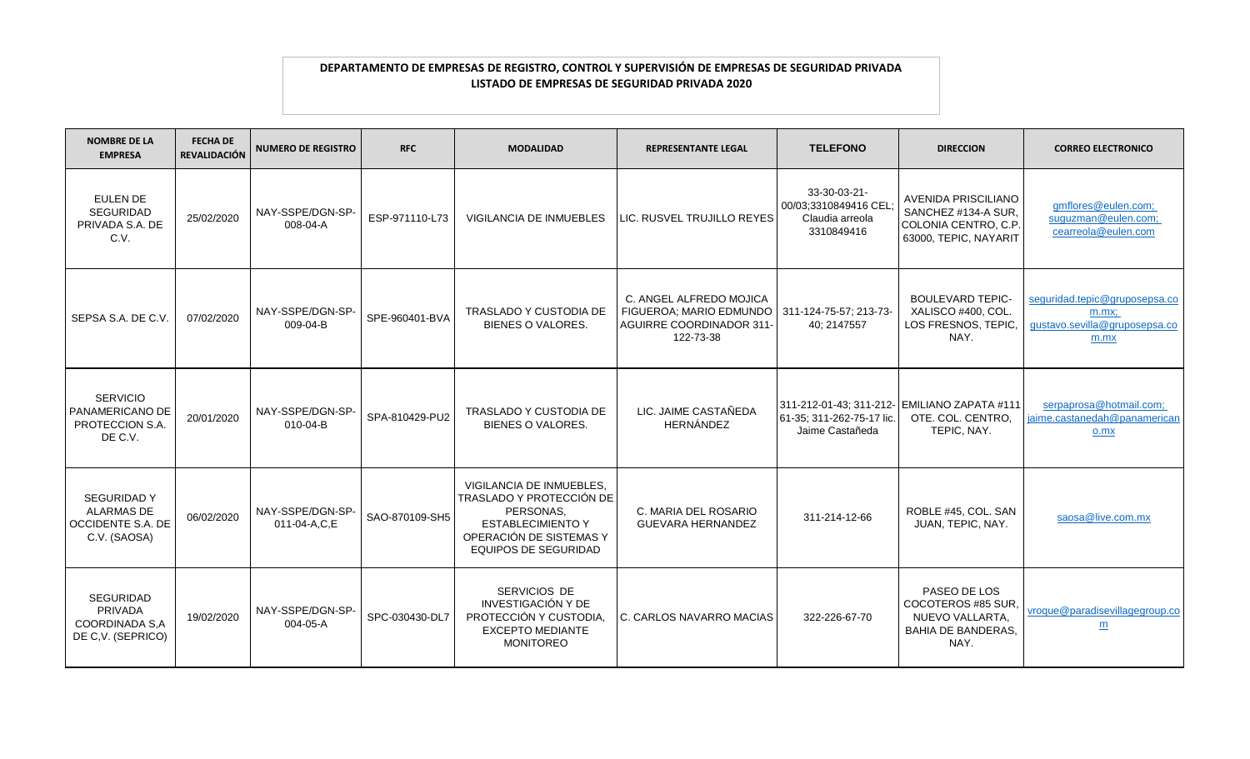| <b>NOMBRE DE LA</b><br><b>EMPRESA</b>                                               | <b>FECHA DE</b><br><b>REVALIDACIÓN</b> | <b>NUMERO DE REGISTRO</b>        | <b>RFC</b>     | <b>MODALIDAD</b>                                                                                                                                        | <b>REPRESENTANTE LEGAL</b>                                                                         | <b>TELEFONO</b>                                                       | <b>DIRECCION</b>                                                                            | <b>CORREO ELECTRONICO</b>                                                          |
|-------------------------------------------------------------------------------------|----------------------------------------|----------------------------------|----------------|---------------------------------------------------------------------------------------------------------------------------------------------------------|----------------------------------------------------------------------------------------------------|-----------------------------------------------------------------------|---------------------------------------------------------------------------------------------|------------------------------------------------------------------------------------|
| <b>EULEN DE</b><br><b>SEGURIDAD</b><br>PRIVADA S.A. DE<br>C.V.                      | 25/02/2020                             | NAY-SSPE/DGN-SP-<br>008-04-A     | ESP-971110-L73 | VIGILANCIA DE INMUEBLES                                                                                                                                 | LIC. RUSVEL TRUJILLO REYES                                                                         | 33-30-03-21-<br>00/03;3310849416 CEL<br>Claudia arreola<br>3310849416 | AVENIDA PRISCILIANO<br>SANCHEZ #134-A SUR,<br>COLONIA CENTRO, C.P.<br>63000, TEPIC, NAYARIT | gmflores@eulen.com;<br>suguzman@eulen.com;<br>cearreola@eulen.com                  |
| SEPSA S.A. DE C.V                                                                   | 07/02/2020                             | NAY-SSPE/DGN-SP-<br>009-04-B     | SPE-960401-BVA | <b>TRASLADO Y CUSTODIA DE</b><br>BIENES O VALORES.                                                                                                      | C. ANGEL ALFREDO MOJICA<br>FIGUEROA; MARIO EDMUNDO<br><b>AGUIRRE COORDINADOR 311-</b><br>122-73-38 | 311-124-75-57; 213-73-<br>40; 2147557                                 | <b>BOULEVARD TEPIC-</b><br>XALISCO #400, COL.<br>LOS FRESNOS, TEPIC,<br>NAY.                | seguridad.tepic@gruposepsa.co<br>$m.mx$ ;<br>gustavo.sevilla@gruposepsa.co<br>m.mx |
| <b>SERVICIO</b><br>PANAMERICANO DE<br>PROTECCION S.A.<br>DE C.V.                    | 20/01/2020                             | NAY-SSPE/DGN-SP-<br>010-04-B     | SPA-810429-PU2 | <b>TRASLADO Y CUSTODIA DE</b><br>BIENES O VALORES.                                                                                                      | LIC. JAIME CASTAÑEDA<br>HERNÁNDEZ                                                                  | 61-35; 311-262-75-17 lic.<br>Jaime Castañeda                          | 311-212-01-43; 311-212- EMILIANO ZAPATA #111<br>OTE. COL. CENTRO.<br>TEPIC, NAY.            | serpaprosa@hotmail.com;<br>aime.castanedah@panamerican<br>o.mx                     |
| <b>SEGURIDAD Y</b><br><b>ALARMAS DE</b><br><b>OCCIDENTE S.A. DE</b><br>C.V. (SAOSA) | 06/02/2020                             | NAY-SSPE/DGN-SP-<br>011-04-A,C,E | SAO-870109-SH5 | VIGILANCIA DE INMUEBLES.<br>TRASLADO Y PROTECCIÓN DE<br>PERSONAS,<br><b>ESTABLECIMIENTO Y</b><br>OPERACIÓN DE SISTEMAS Y<br><b>EQUIPOS DE SEGURIDAD</b> | C. MARIA DEL ROSARIO<br>GUEVARA HERNANDEZ                                                          | 311-214-12-66                                                         | ROBLE #45, COL. SAN<br>JUAN, TEPIC, NAY.                                                    | saosa@live.com.mx                                                                  |
| <b>SEGURIDAD</b><br>PRIVADA<br>COORDINADA S,A<br>DE C, V. (SEPRICO)                 | 19/02/2020                             | NAY-SSPE/DGN-SP-<br>004-05-A     | SPC-030430-DL7 | SERVICIOS DE<br>INVESTIGACIÓN Y DE<br>PROTECCIÓN Y CUSTODIA<br><b>EXCEPTO MEDIANTE</b><br><b>MONITOREO</b>                                              | C. CARLOS NAVARRO MACIAS                                                                           | 322-226-67-70                                                         | PASEO DE LOS<br>COCOTEROS #85 SUR.<br>NUEVO VALLARTA.<br><b>BAHIA DE BANDERAS,</b><br>NAY.  | vroque@paradisevillagegroup.co<br>m                                                |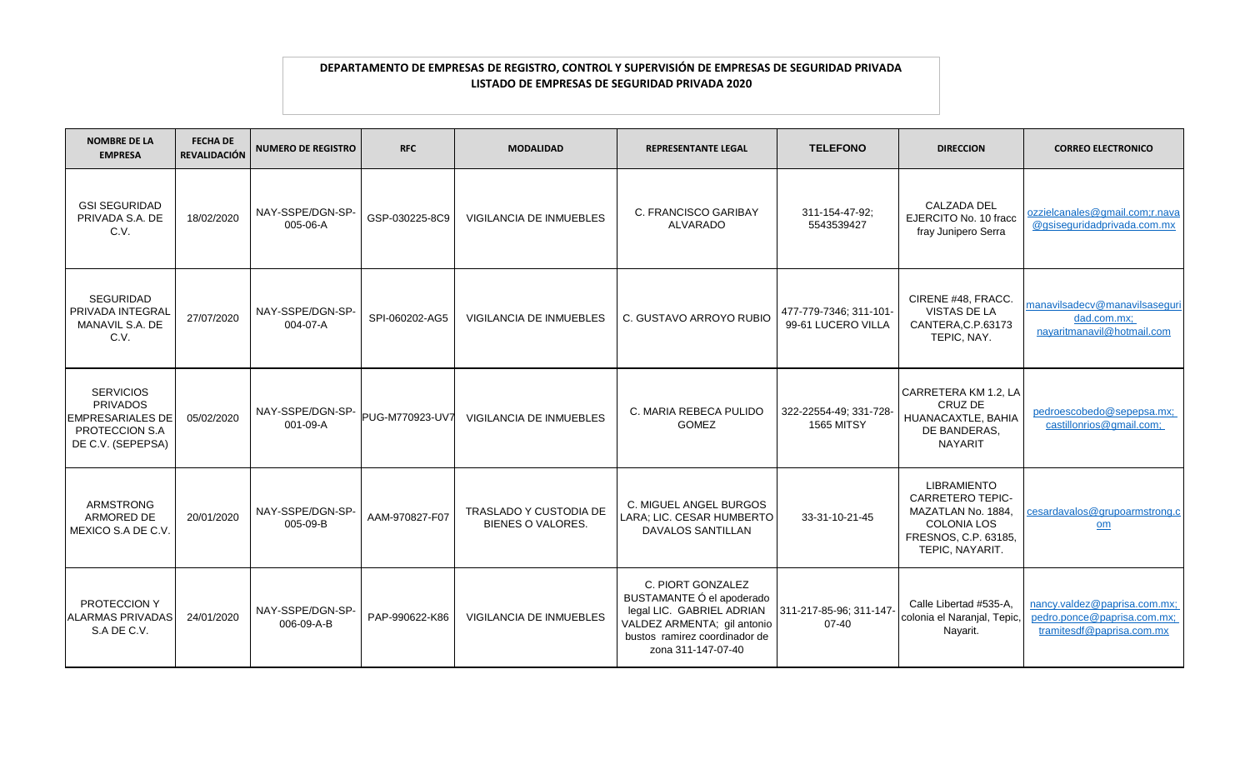| <b>NOMBRE DE LA</b><br><b>EMPRESA</b>                                                                 | <b>FECHA DE</b><br><b>REVALIDACIÓN</b> | <b>NUMERO DE REGISTRO</b>      | <b>RFC</b>      | <b>MODALIDAD</b>                                          | <b>REPRESENTANTE LEGAL</b>                                                                                                                                        | <b>TELEFONO</b>                              | <b>DIRECCION</b>                                                                                                                     | <b>CORREO ELECTRONICO</b>                                                                |
|-------------------------------------------------------------------------------------------------------|----------------------------------------|--------------------------------|-----------------|-----------------------------------------------------------|-------------------------------------------------------------------------------------------------------------------------------------------------------------------|----------------------------------------------|--------------------------------------------------------------------------------------------------------------------------------------|------------------------------------------------------------------------------------------|
| <b>GSI SEGURIDAD</b><br>PRIVADA S.A. DE<br>C.V.                                                       | 18/02/2020                             | NAY-SSPE/DGN-SP-<br>005-06-A   | GSP-030225-8C9  | <b>VIGILANCIA DE INMUEBLES</b>                            | C. FRANCISCO GARIBAY<br>ALVARADO                                                                                                                                  | 311-154-47-92;<br>5543539427                 | <b>CALZADA DEL</b><br>EJERCITO No. 10 fracc<br>fray Junipero Serra                                                                   | ozzielcanales@gmail.com;r.nava<br>@gsiseguridadprivada.com.mx                            |
| <b>SEGURIDAD</b><br>PRIVADA INTEGRAI<br>MANAVIL S.A. DE<br>C.V.                                       | 27/07/2020                             | NAY-SSPE/DGN-SP-<br>004-07-A   | SPI-060202-AG5  | VIGILANCIA DE INMUEBLES                                   | C. GUSTAVO ARROYO RUBIO                                                                                                                                           | 477-779-7346; 311-101-<br>99-61 LUCERO VILLA | CIRENE #48, FRACC.<br><b>VISTAS DE LA</b><br>CANTERA.C.P.63173<br>TEPIC, NAY.                                                        | manavilsadecv@manavilsaseguri<br>dad.com.mx;<br>nayaritmanavil@hotmail.com               |
| <b>SERVICIOS</b><br><b>PRIVADOS</b><br><b>EMPRESARIALES DE</b><br>PROTECCION S.A<br>DE C.V. (SEPEPSA) | 05/02/2020                             | NAY-SSPE/DGN-SP-<br>001-09-A   | PUG-M770923-UV7 | VIGILANCIA DE INMUEBLES                                   | C. MARIA REBECA PULIDO<br><b>GOMEZ</b>                                                                                                                            | 322-22554-49; 331-728-<br><b>1565 MITSY</b>  | CARRETERA KM 1.2, LA<br>CRUZ DE<br>HUANACAXTLE, BAHIA<br>DE BANDERAS,<br><b>NAYARIT</b>                                              | pedroescobedo@sepepsa.mx;<br>castillonrios@gmail.com;                                    |
| ARMSTRONG<br>ARMORED DE<br>MEXICO S.A DE C.V                                                          | 20/01/2020                             | NAY-SSPE/DGN-SP-<br>005-09-B   | AAM-970827-F07  | <b>TRASLADO Y CUSTODIA DE</b><br><b>BIENES O VALORES.</b> | C. MIGUEL ANGEL BURGOS<br>LARA; LIC. CESAR HUMBERTO<br><b>DAVALOS SANTILLAN</b>                                                                                   | 33-31-10-21-45                               | <b>LIBRAMIENTO</b><br><b>CARRETERO TEPIC-</b><br>MAZATLAN No. 1884,<br><b>COLONIA LOS</b><br>FRESNOS, C.P. 63185,<br>TEPIC, NAYARIT. | cesardavalos@grupoarmstrong.c<br>om                                                      |
| PROTECCION Y<br><b>ALARMAS PRIVADAS</b><br>S.A DE C.V.                                                | 24/01/2020                             | NAY-SSPE/DGN-SP-<br>006-09-A-B | PAP-990622-K86  | <b>VIGILANCIA DE INMUEBLES</b>                            | C. PIORT GONZALEZ<br>BUSTAMANTE Ó el apoderado<br>legal LIC. GABRIEL ADRIAN<br>VALDEZ ARMENTA; gil antonio<br>bustos ramirez coordinador de<br>zona 311-147-07-40 | 311-217-85-96; 311-147-<br>07-40             | Calle Libertad #535-A,<br>colonia el Naranjal, Tepic,<br>Nayarit.                                                                    | nancy.valdez@paprisa.com.mx;<br>pedro.ponce@paprisa.com.mx;<br>tramitesdf@paprisa.com.mx |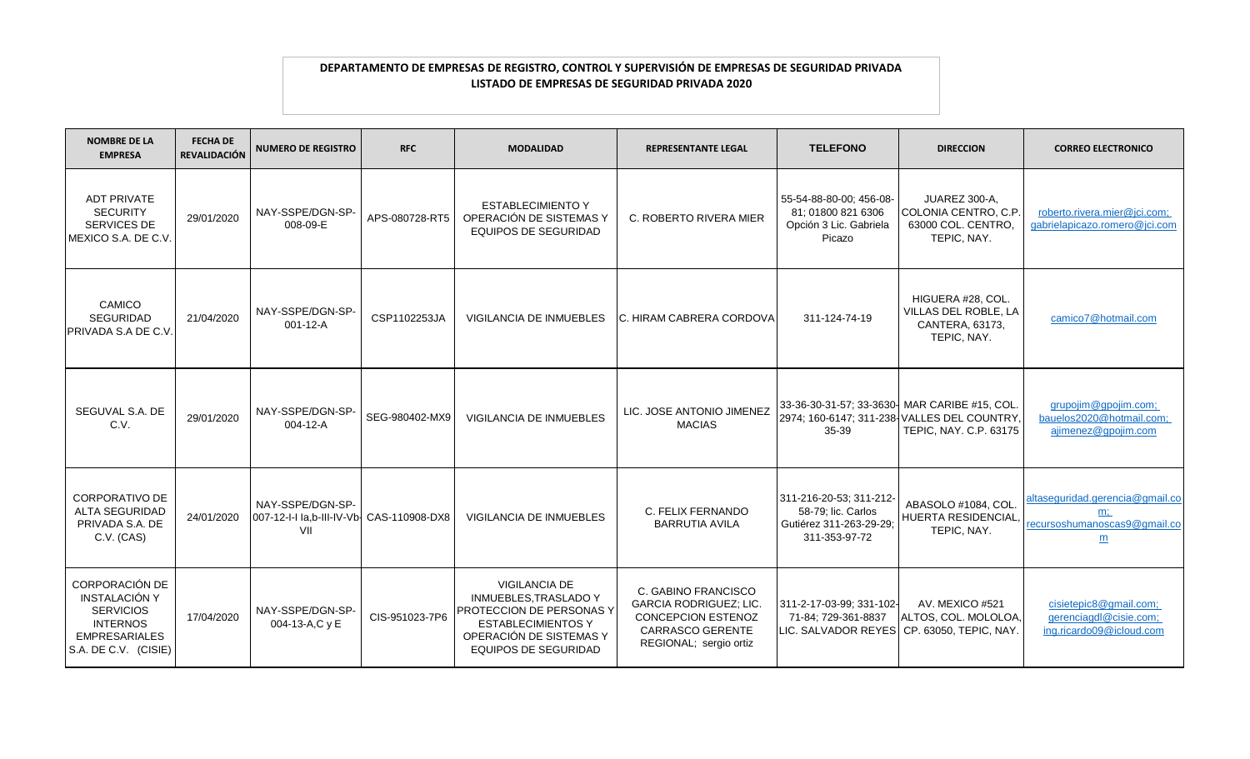| <b>NOMBRE DE LA</b><br><b>EMPRESA</b>                                                                                         | <b>FECHA DE</b><br><b>REVALIDACIÓN</b> | <b>NUMERO DE REGISTRO</b>                                            | <b>RFC</b>     | <b>MODALIDAD</b>                                                                                                                                                        | <b>REPRESENTANTE LEGAL</b>                                                                                                             | <b>TELEFONO</b>                                                                           | <b>DIRECCION</b>                                                                      | <b>CORREO ELECTRONICO</b>                                                                   |
|-------------------------------------------------------------------------------------------------------------------------------|----------------------------------------|----------------------------------------------------------------------|----------------|-------------------------------------------------------------------------------------------------------------------------------------------------------------------------|----------------------------------------------------------------------------------------------------------------------------------------|-------------------------------------------------------------------------------------------|---------------------------------------------------------------------------------------|---------------------------------------------------------------------------------------------|
| <b>ADT PRIVATE</b><br><b>SECURITY</b><br><b>SERVICES DE</b><br>MEXICO S.A. DE C.V.                                            | 29/01/2020                             | NAY-SSPE/DGN-SP-<br>008-09-E                                         | APS-080728-RT5 | <b>ESTABLECIMIENTO Y</b><br>OPERACIÓN DE SISTEMAS Y<br><b>EQUIPOS DE SEGURIDAD</b>                                                                                      | C. ROBERTO RIVERA MIER                                                                                                                 | 55-54-88-80-00; 456-08-<br>81: 01800 821 6306<br>Opción 3 Lic. Gabriela<br>Picazo         | JUAREZ 300-A,<br>COLONIA CENTRO, C.P.<br>63000 COL. CENTRO,<br>TEPIC, NAY.            | roberto.rivera.mier@jci.com;<br>gabrielapicazo.romero@jci.com                               |
| <b>CAMICO</b><br><b>SEGURIDAD</b><br>PRIVADA S.A DE C.V.                                                                      | 21/04/2020                             | NAY-SSPE/DGN-SP-<br>001-12-A                                         | CSP1102253JA   | <b>VIGILANCIA DE INMUEBLES</b>                                                                                                                                          | C. HIRAM CABRERA CORDOVA                                                                                                               | 311-124-74-19                                                                             | HIGUERA #28, COL.<br>VILLAS DEL ROBLE, LA<br>CANTERA, 63173,<br>TEPIC, NAY.           | camico7@hotmail.com                                                                         |
| SEGUVAL S.A. DE<br>C.V.                                                                                                       | 29/01/2020                             | NAY-SSPE/DGN-SP-<br>004-12-A                                         | SEG-980402-MX9 | <b>VIGILANCIA DE INMUEBLES</b>                                                                                                                                          | LIC. JOSE ANTONIO JIMENEZ<br><b>MACIAS</b>                                                                                             | 33-36-30-31-57; 33-3630- MAR CARIBE #15, COL.<br>35-39                                    | 2974; 160-6147; 311-238 VALLES DEL COUNTRY,<br>TEPIC, NAY. C.P. 63175                 | grupojim@gpojim.com;<br>bauelos2020@hotmail.com:<br>ajimenez@gpojim.com                     |
| <b>CORPORATIVO DE</b><br><b>ALTA SEGURIDAD</b><br>PRIVADA S.A. DE<br>C.V. (CAS)                                               | 24/01/2020                             | NAY-SSPE/DGN-SP-<br>007-12-I-I la,b-III-IV-Vb- CAS-110908-DX8<br>VII |                | <b>VIGILANCIA DE INMUEBLES</b>                                                                                                                                          | C. FELIX FERNANDO<br><b>BARRUTIA AVILA</b>                                                                                             | 311-216-20-53; 311-212-<br>58-79; lic. Carlos<br>Gutiérez 311-263-29-29:<br>311-353-97-72 | ABASOLO #1084. COL<br>HUERTA RESIDENCIAL.<br>TEPIC, NAY.                              | altaseguridad.gerencia@gmail.co<br>$m$ ;<br>recursoshumanoscas9@gmail.co<br>$\underline{m}$ |
| <b>CORPORACIÓN DE</b><br>INSTALACIÓN Y<br><b>SERVICIOS</b><br><b>INTERNOS</b><br><b>EMPRESARIALES</b><br>S.A. DE C.V. (CISIE) | 17/04/2020                             | NAY-SSPE/DGN-SP-<br>004-13-A,C y E                                   | CIS-951023-7P6 | <b>VIGILANCIA DE</b><br><b>INMUEBLES, TRASLADO Y</b><br>PROTECCION DE PERSONAS Y<br><b>ESTABLECIMIENTOS Y</b><br>OPERACIÓN DE SISTEMAS Y<br><b>EQUIPOS DE SEGURIDAD</b> | C. GABINO FRANCISCO<br><b>GARCIA RODRIGUEZ; LIC.</b><br><b>CONCEPCION ESTENOZ</b><br><b>CARRASCO GERENTE</b><br>REGIONAL; sergio ortiz | 311-2-17-03-99; 331-102-<br>71-84; 729-361-8837                                           | AV. MEXICO #521<br>ALTOS, COL. MOLOLOA,<br>LIC. SALVADOR REYES CP. 63050, TEPIC, NAY. | cisietepic8@gmail.com;<br>gerenciagdl@cisie.com;<br>ing.ricardo09@icloud.com                |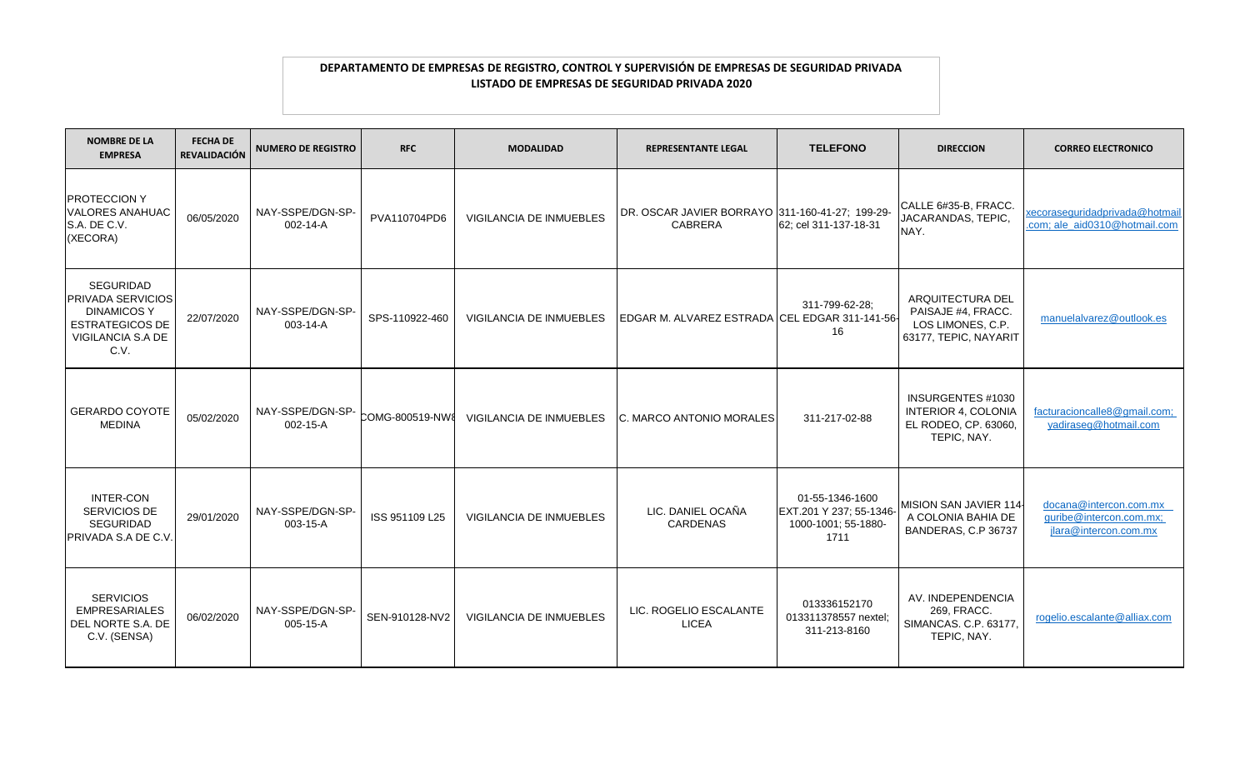| <b>NOMBRE DE LA</b><br><b>EMPRESA</b>                                                                              | <b>FECHA DE</b><br><b>REVALIDACIÓN</b> | <b>NUMERO DE REGISTRO</b>    | <b>RFC</b>     | <b>MODALIDAD</b>               | <b>REPRESENTANTE LEGAL</b>                                        | <b>TELEFONO</b>                                                           | <b>DIRECCION</b>                                                                       | <b>CORREO ELECTRONICO</b>                                                  |
|--------------------------------------------------------------------------------------------------------------------|----------------------------------------|------------------------------|----------------|--------------------------------|-------------------------------------------------------------------|---------------------------------------------------------------------------|----------------------------------------------------------------------------------------|----------------------------------------------------------------------------|
| <b>PROTECCION Y</b><br><b>VALORES ANAHUAC</b><br>S.A. DE C.V.<br>(XECORA)                                          | 06/05/2020                             | NAY-SSPE/DGN-SP-<br>002-14-A | PVA110704PD6   | VIGILANCIA DE INMUEBLES        | DR. OSCAR JAVIER BORRAYO 311-160-41-27; 199-29-<br><b>CABRERA</b> | 62; cel 311-137-18-31                                                     | CALLE 6#35-B, FRACC.<br>JACARANDAS, TEPIC,<br>NAY.                                     | xecoraseguridadprivada@hotmail<br>.com; ale_aid0310@hotmail.com            |
| <b>SEGURIDAD</b><br>PRIVADA SERVICIOS<br><b>DINAMICOS Y</b><br><b>ESTRATEGICOS DE</b><br>VIGILANCIA S.A DE<br>C.V. | 22/07/2020                             | NAY-SSPE/DGN-SP-<br>003-14-A | SPS-110922-460 | VIGILANCIA DE INMUEBLES        | EDGAR M. ALVAREZ ESTRADA CEL EDGAR 311-141-56-                    | 311-799-62-28:<br>16                                                      | ARQUITECTURA DEL<br>PAISAJE #4, FRACC.<br>LOS LIMONES, C.P.<br>63177, TEPIC, NAYARIT   | manuelalvarez@outlook.es                                                   |
| <b>GERARDO COYOTE</b><br><b>MEDINA</b>                                                                             | 05/02/2020                             | NAY-SSPE/DGN-SP-<br>002-15-A | COMG-800519-NW | <b>VIGILANCIA DE INMUEBLES</b> | C. MARCO ANTONIO MORALES                                          | 311-217-02-88                                                             | INSURGENTES #1030<br><b>INTERIOR 4, COLONIA</b><br>EL RODEO, CP. 63060,<br>TEPIC, NAY. | facturacioncalle8@gmail.com;<br>yadiraseg@hotmail.com                      |
| INTER-CON<br>SERVICIOS DE<br><b>SEGURIDAD</b><br>PRIVADA S.A DE C.V.                                               | 29/01/2020                             | NAY-SSPE/DGN-SP-<br>003-15-A | ISS 951109 L25 | <b>VIGILANCIA DE INMUEBLES</b> | LIC. DANIEL OCAÑA<br><b>CARDENAS</b>                              | 01-55-1346-1600<br>EXT.201 Y 237; 55-1346-<br>1000-1001; 55-1880-<br>1711 | MISION SAN JAVIER 114-<br>A COLONIA BAHIA DE<br>BANDERAS, C.P 36737                    | docana@intercon.com.mx<br>guribe@intercon.com.mx;<br>jlara@intercon.com.mx |
| <b>SERVICIOS</b><br><b>EMPRESARIALES</b><br>DEL NORTE S.A. DE<br>C.V. (SENSA)                                      | 06/02/2020                             | NAY-SSPE/DGN-SP-<br>005-15-A | SEN-910128-NV2 | <b>VIGILANCIA DE INMUEBLES</b> | LIC. ROGELIO ESCALANTE<br><b>LICEA</b>                            | 013336152170<br>013311378557 nextel;<br>311-213-8160                      | AV. INDEPENDENCIA<br>269, FRACC.<br>SIMANCAS. C.P. 63177,<br>TEPIC, NAY.               | rogelio.escalante@alliax.com                                               |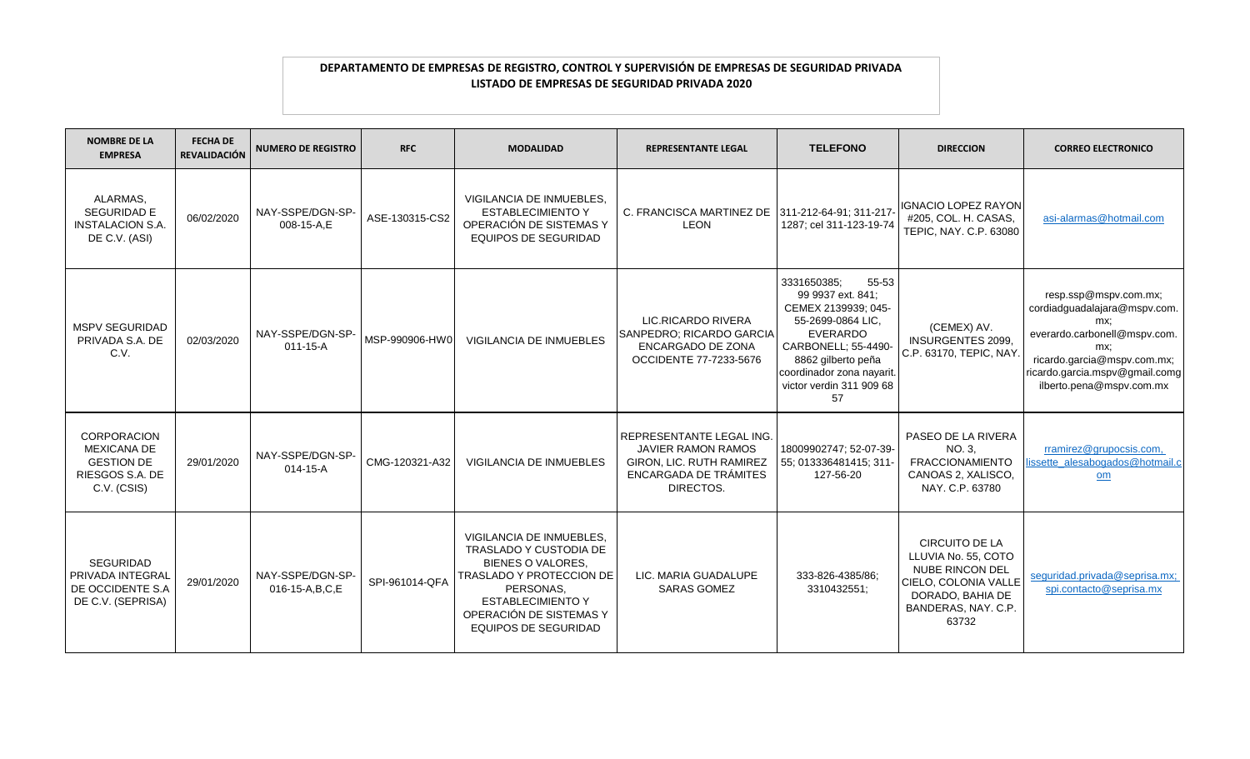| <b>NOMBRE DE LA</b><br><b>EMPRESA</b>                                                           | <b>FECHA DE</b><br>REVALIDACIÓN | <b>NUMERO DE REGISTRO</b>             | <b>RFC</b>     | <b>MODALIDAD</b>                                                                                                                                                                                              | <b>REPRESENTANTE LEGAL</b>                                                                                              | <b>TELEFONO</b>                                                                                                                                                                                                      | <b>DIRECCION</b>                                                                                                                                   | <b>CORREO ELECTRONICO</b>                                                                                                                                                                        |
|-------------------------------------------------------------------------------------------------|---------------------------------|---------------------------------------|----------------|---------------------------------------------------------------------------------------------------------------------------------------------------------------------------------------------------------------|-------------------------------------------------------------------------------------------------------------------------|----------------------------------------------------------------------------------------------------------------------------------------------------------------------------------------------------------------------|----------------------------------------------------------------------------------------------------------------------------------------------------|--------------------------------------------------------------------------------------------------------------------------------------------------------------------------------------------------|
| ALARMAS,<br><b>SEGURIDAD E</b><br><b>INSTALACION S.A.</b><br>DE C.V. (ASI)                      | 06/02/2020                      | NAY-SSPE/DGN-SP-<br>008-15-A,E        | ASE-130315-CS2 | VIGILANCIA DE INMUEBLES,<br><b>ESTABLECIMIENTO Y</b><br>OPERACIÓN DE SISTEMAS Y<br><b>EQUIPOS DE SEGURIDAD</b>                                                                                                | C. FRANCISCA MARTINEZ DE 311-212-64-91; 311-217<br><b>LEON</b>                                                          | 1287; cel 311-123-19-74                                                                                                                                                                                              | <b>IGNACIO LOPEZ RAYON</b><br>#205, COL. H. CASAS,<br>TEPIC, NAY. C.P. 63080                                                                       | asi-alarmas@hotmail.com                                                                                                                                                                          |
| MSPV SEGURIDAD<br>PRIVADA S.A. DE<br>C.V.                                                       | 02/03/2020                      | NAY-SSPE/DGN-SP-<br>$011 - 15 - A$    | MSP-990906-HW0 | <b>VIGILANCIA DE INMUEBLES</b>                                                                                                                                                                                | LIC.RICARDO RIVERA<br>SANPEDRO; RICARDO GARCIA<br>ENCARGADO DE ZONA<br>OCCIDENTE 77-7233-5676                           | 3331650385;<br>55-53<br>99 9937 ext. 841;<br>CEMEX 2139939; 045-<br>55-2699-0864 LIC.<br><b>EVERARDO</b><br>CARBONELL; 55-4490-<br>8862 gilberto peña<br>coordinador zona nayarit.<br>victor verdin 311 909 68<br>57 | (CEMEX) AV.<br><b>INSURGENTES 2099.</b><br>C.P. 63170, TEPIC, NAY.                                                                                 | resp.ssp@mspv.com.mx;<br>cordiadguadalajara@mspv.com.<br>mx:<br>everardo.carbonell@mspv.com.<br>mx:<br>ricardo.garcia@mspv.com.mx;<br>ricardo.garcia.mspv@gmail.comg<br>ilberto.pena@mspv.com.mx |
| <b>CORPORACION</b><br><b>MEXICANA DE</b><br><b>GESTION DE</b><br>RIESGOS S.A. DE<br>C.V. (CSIS) | 29/01/2020                      | NAY-SSPE/DGN-SP-<br>$014 - 15 - A$    | CMG-120321-A32 | <b>VIGILANCIA DE INMUEBLES</b>                                                                                                                                                                                | REPRESENTANTE LEGAL ING.<br><b>JAVIER RAMON RAMOS</b><br>GIRON, LIC. RUTH RAMIREZ<br>ENCARGADA DE TRÁMITES<br>DIRECTOS. | 18009902747; 52-07-39-<br>55; 013336481415; 311-<br>127-56-20                                                                                                                                                        | PASEO DE LA RIVERA<br>NO. 3.<br><b>FRACCIONAMIENTO</b><br>CANOAS 2, XALISCO,<br>NAY, C.P. 63780                                                    | rramirez@grupocsis.com,<br>ssette_alesabogados@hotmail.<br>$om$                                                                                                                                  |
| <b>SEGURIDAD</b><br><b>PRIVADA INTEGRAL</b><br>DE OCCIDENTE S.A<br>DE C.V. (SEPRISA)            | 29/01/2020                      | NAY-SSPE/DGN-SP-<br>016-15-A, B, C, E | SPI-961014-QFA | VIGILANCIA DE INMUEBLES,<br>TRASLADO Y CUSTODIA DE<br><b>BIENES O VALORES.</b><br>TRASLADO Y PROTECCION DE<br>PERSONAS,<br><b>ESTABLECIMIENTO Y</b><br>OPERACIÓN DE SISTEMAS Y<br><b>EQUIPOS DE SEGURIDAD</b> | LIC. MARIA GUADALUPE<br><b>SARAS GOMEZ</b>                                                                              | 333-826-4385/86;<br>3310432551;                                                                                                                                                                                      | <b>CIRCUITO DE LA</b><br>LLUVIA No. 55, COTO<br><b>NUBE RINCON DEL</b><br>CIELO, COLONIA VALLE<br>DORADO, BAHIA DE<br>BANDERAS, NAY. C.P.<br>63732 | sequridad.privada@seprisa.mx;<br>spi.contacto@seprisa.mx                                                                                                                                         |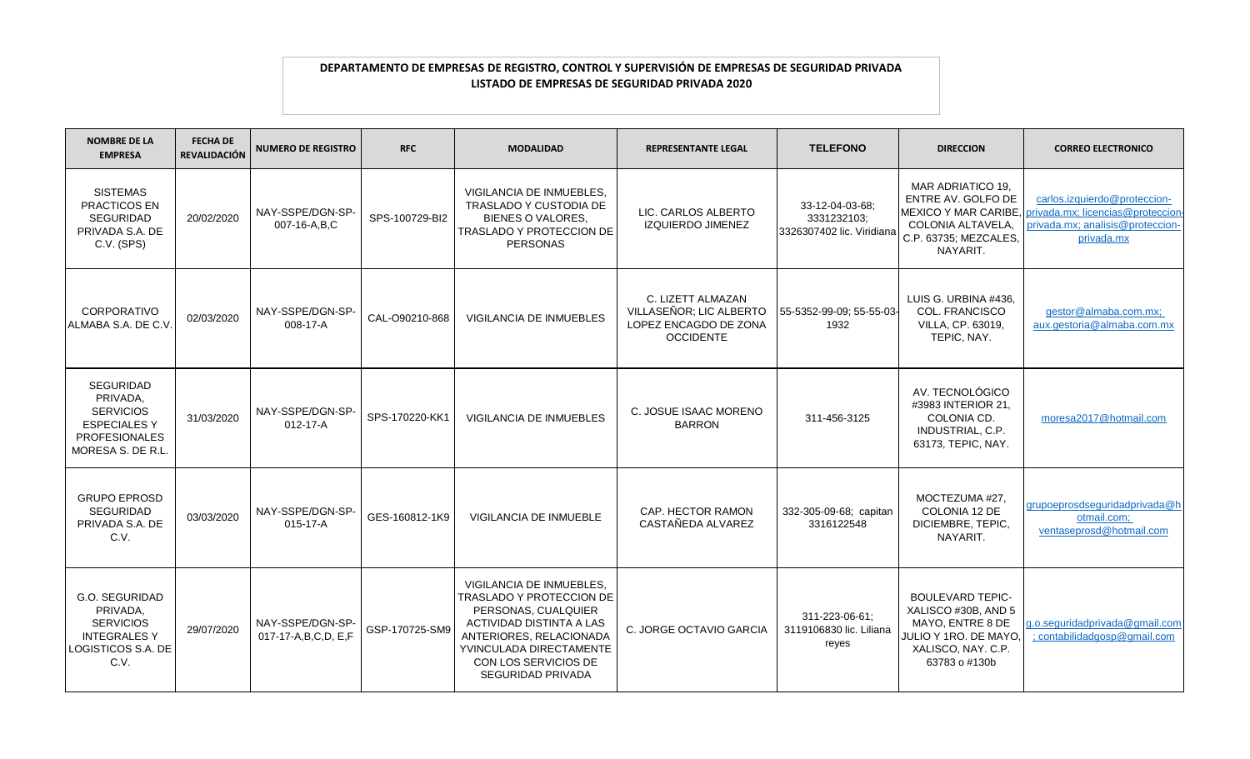| <b>NOMBRE DE LA</b><br><b>EMPRESA</b>                                                                               | <b>FECHA DE</b><br><b>REVALIDACIÓN</b> | <b>NUMERO DE REGISTRO</b>               | <b>RFC</b>     | <b>MODALIDAD</b>                                                                                                                                                                                                  | <b>REPRESENTANTE LEGAL</b>                                                                | <b>TELEFONO</b>                                    | <b>DIRECCION</b>                                                                                                                                            | <b>CORREO ELECTRONICO</b>                                                                                           |
|---------------------------------------------------------------------------------------------------------------------|----------------------------------------|-----------------------------------------|----------------|-------------------------------------------------------------------------------------------------------------------------------------------------------------------------------------------------------------------|-------------------------------------------------------------------------------------------|----------------------------------------------------|-------------------------------------------------------------------------------------------------------------------------------------------------------------|---------------------------------------------------------------------------------------------------------------------|
| <b>SISTEMAS</b><br>PRACTICOS EN<br><b>SEGURIDAD</b><br>PRIVADA S.A. DE<br>C.V. (SPS)                                | 20/02/2020                             | NAY-SSPE/DGN-SP-<br>007-16-A,B,C        | SPS-100729-BI2 | VIGILANCIA DE INMUEBLES,<br><b>TRASLADO Y CUSTODIA DE</b><br><b>BIENES O VALORES.</b><br><b>TRASLADO Y PROTECCION DE</b><br>PERSONAS                                                                              | LIC. CARLOS ALBERTO<br><b>IZQUIERDO JIMENEZ</b>                                           | 33-12-04-03-68:<br>3331232103:                     | MAR ADRIATICO 19,<br>ENTRE AV. GOLFO DE<br><b>IMEXICO Y MAR CARIBE.</b><br>COLONIA ALTAVELA,<br>3326307402 lic. Viridiana C.P. 63735; MEZCALES,<br>NAYARIT. | carlos.izquierdo@proteccion-<br>privada.mx; licencias@proteccion-<br>privada.mx; analisis@proteccion-<br>privada.mx |
| <b>CORPORATIVO</b><br>ALMABA S.A. DE C.V.                                                                           | 02/03/2020                             | NAY-SSPE/DGN-SP-<br>$008 - 17 - A$      | CAL-O90210-868 | VIGILANCIA DE INMUEBLES                                                                                                                                                                                           | C. LIZETT ALMAZAN<br>VILLASEÑOR; LIC ALBERTO<br>LOPEZ ENCAGDO DE ZONA<br><b>OCCIDENTE</b> | 55-5352-99-09; 55-55-03-<br>1932                   | LUIS G. URBINA #436.<br><b>COL. FRANCISCO</b><br>VILLA, CP, 63019.<br>TEPIC, NAY.                                                                           | gestor@almaba.com.mx;<br>aux.gestoria@almaba.com.mx                                                                 |
| <b>SEGURIDAD</b><br>PRIVADA,<br><b>SERVICIOS</b><br><b>ESPECIALESY</b><br><b>PROFESIONALES</b><br>MORESA S. DE R.L. | 31/03/2020                             | NAY-SSPE/DGN-SP-<br>$012 - 17 - A$      | SPS-170220-KK1 | VIGILANCIA DE INMUEBLES                                                                                                                                                                                           | C. JOSUE ISAAC MORENO<br><b>BARRON</b>                                                    | 311-456-3125                                       | AV. TECNOLÓGICO<br>#3983 INTERIOR 21,<br>COLONIA CD.<br>INDUSTRIAL, C.P.<br>63173, TEPIC, NAY.                                                              | moresa2017@hotmail.com                                                                                              |
| <b>GRUPO EPROSD</b><br><b>SEGURIDAD</b><br>PRIVADA S.A. DE<br>C.V.                                                  | 03/03/2020                             | NAY-SSPE/DGN-SP-<br>$015 - 17 - A$      | GES-160812-1K9 | <b>VIGILANCIA DE INMUEBLE</b>                                                                                                                                                                                     | CAP. HECTOR RAMON<br>CASTAÑEDA ALVAREZ                                                    | 332-305-09-68; capitan<br>3316122548               | MOCTEZUMA #27.<br>COLONIA 12 DE<br>DICIEMBRE, TEPIC.<br>NAYARIT.                                                                                            | grupoeprosdseguridadprivada@h<br>otmail.com;<br>ventaseprosd@hotmail.com                                            |
| G.O. SEGURIDAD<br>PRIVADA.<br><b>SERVICIOS</b><br><b>INTEGRALESY</b><br>LOGISTICOS S.A. DE<br>C.V.                  | 29/07/2020                             | NAY-SSPE/DGN-SP-<br>017-17-A,B,C,D, E,F | GSP-170725-SM9 | VIGILANCIA DE INMUEBLES,<br>TRASLADO Y PROTECCION DE<br>PERSONAS, CUALQUIER<br>ACTIVIDAD DISTINTA A LAS<br>ANTERIORES, RELACIONADA<br>YVINCULADA DIRECTAMENTE<br>CON LOS SERVICIOS DE<br><b>SEGURIDAD PRIVADA</b> | C. JORGE OCTAVIO GARCIA                                                                   | 311-223-06-61:<br>3119106830 lic. Liliana<br>reyes | <b>BOULEVARD TEPIC-</b><br>XALISCO #30B, AND 5<br>MAYO, ENTRE 8 DE<br>JULIO Y 1RO. DE MAYO,<br>XALISCO, NAY. C.P.<br>63783 o #130b                          | g.o.seguridadprivada@gmail.com<br>; contabilidadgosp@gmail.com                                                      |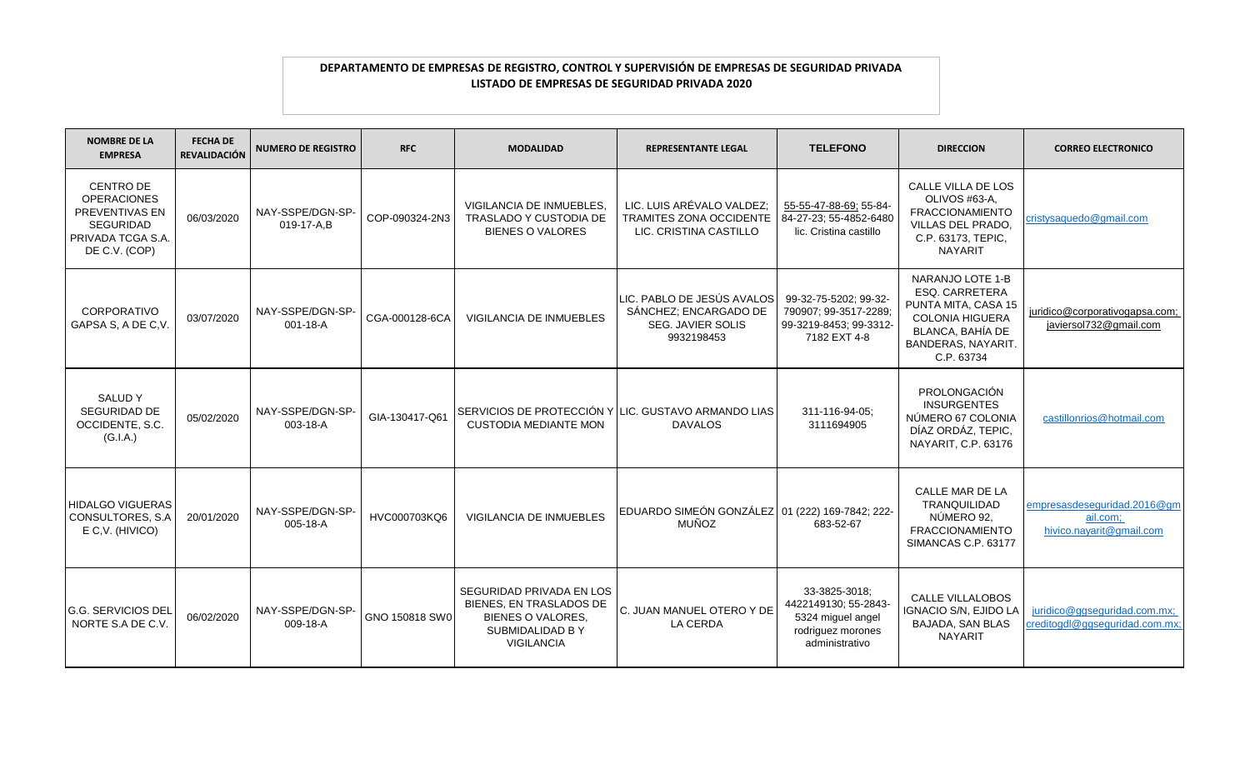| <b>NOMBRE DE LA</b><br><b>EMPRESA</b>                                                                                     | <b>FECHA DE</b><br><b>REVALIDACIÓN</b> | <b>NUMERO DE REGISTRO</b>      | <b>RFC</b>     | <b>MODALIDAD</b>                                                                                                        | <b>REPRESENTANTE LEGAL</b>                                                             | <b>TELEFONO</b>                                                                                   | <b>DIRECCION</b>                                                                                                                                   | <b>CORREO ELECTRONICO</b>                                           |
|---------------------------------------------------------------------------------------------------------------------------|----------------------------------------|--------------------------------|----------------|-------------------------------------------------------------------------------------------------------------------------|----------------------------------------------------------------------------------------|---------------------------------------------------------------------------------------------------|----------------------------------------------------------------------------------------------------------------------------------------------------|---------------------------------------------------------------------|
| <b>CENTRO DE</b><br><b>OPERACIONES</b><br><b>PREVENTIVAS EN</b><br><b>SEGURIDAD</b><br>PRIVADA TCGA S.A.<br>DE C.V. (COP) | 06/03/2020                             | NAY-SSPE/DGN-SP-<br>019-17-A.B | COP-090324-2N3 | VIGILANCIA DE INMUEBLES.<br>TRASLADO Y CUSTODIA DE<br><b>BIENES O VALORES</b>                                           | LIC. LUIS ARÉVALO VALDEZ;<br>TRAMITES ZONA OCCIDENTE<br>LIC. CRISTINA CASTILLO         | 55-55-47-88-69; 55-84-<br>84-27-23; 55-4852-6480<br>lic. Cristina castillo                        | CALLE VILLA DE LOS<br>OLIVOS #63-A,<br><b>FRACCIONAMIENTO</b><br>VILLAS DEL PRADO.<br>C.P. 63173, TEPIC,<br><b>NAYARIT</b>                         | cristysaquedo@gmail.com                                             |
| <b>CORPORATIVO</b><br>GAPSA S, A DE C, V.                                                                                 | 03/07/2020                             | NAY-SSPE/DGN-SP-<br>001-18-A   | CGA-000128-6CA | <b>VIGILANCIA DE INMUEBLES</b>                                                                                          | LIC. PABLO DE JESÚS AVALOS<br>SÁNCHEZ; ENCARGADO DE<br>SEG. JAVIER SOLIS<br>9932198453 | 99-32-75-5202; 99-32-<br>790907; 99-3517-2289;<br>99-3219-8453; 99-3312-<br>7182 EXT 4-8          | NARANJO LOTE 1-B<br><b>ESQ. CARRETERA</b><br>PUNTA MITA, CASA 15<br><b>COLONIA HIGUERA</b><br>BLANCA, BAHÍA DE<br>BANDERAS, NAYARIT.<br>C.P. 63734 | juridico@corporativogapsa.com;<br>javiersol732@gmail.com            |
| SALUD Y<br><b>SEGURIDAD DE</b><br>OCCIDENTE, S.C.<br>(G.I.A.)                                                             | 05/02/2020                             | NAY-SSPE/DGN-SP-<br>003-18-A   | GIA-130417-Q61 | SERVICIOS DE PROTECCIÓN Y LLIC. GUSTAVO ARMANDO LIAS<br><b>CUSTODIA MEDIANTE MON</b>                                    | <b>DAVALOS</b>                                                                         | 311-116-94-05;<br>3111694905                                                                      | PROLONGACIÓN<br><b>INSURGENTES</b><br>NÚMERO 67 COLONIA<br>DÍAZ ORDÁZ, TEPIC,<br>NAYARIT, C.P. 63176                                               | castillonrios@hotmail.com                                           |
| <b>HIDALGO VIGUERAS</b><br>CONSULTORES, S.A<br>E C.V. (HIVICO)                                                            | 20/01/2020                             | NAY-SSPE/DGN-SP-<br>005-18-A   | HVC000703KQ6   | <b>VIGILANCIA DE INMUEBLES</b>                                                                                          | EDUARDO SIMEÓN GONZÁLEZ 01 (222) 169-7842; 222-<br><b>MUÑOZ</b>                        | 683-52-67                                                                                         | CALLE MAR DE LA<br>TRANQUILIDAD<br>NÚMERO 92,<br><b>FRACCIONAMIENTO</b><br>SIMANCAS C.P. 63177                                                     | empresasdeseguridad.2016@gm<br>ail.com;<br>hivico.navarit@gmail.com |
| <b>G.G. SERVICIOS DEL</b><br>NORTE S.A DE C.V.                                                                            | 06/02/2020                             | NAY-SSPE/DGN-SP-<br>009-18-A   | GNO 150818 SW0 | SEGURIDAD PRIVADA EN LOS<br><b>BIENES, EN TRASLADOS DE</b><br><b>BIENES O VALORES.</b><br>SUBMIDALIDAD BY<br>VIGILANCIA | C. JUAN MANUEL OTERO Y DE<br>LA CERDA                                                  | 33-3825-3018;<br>4422149130; 55-2843-<br>5324 miguel angel<br>rodriguez morones<br>administrativo | <b>CALLE VILLALOBOS</b><br>IGNACIO S/N, EJIDO LA<br><b>BAJADA, SAN BLAS</b><br><b>NAYARIT</b>                                                      | juridico@ggseguridad.com.mx;<br>creditogdl@ggseguridad.com.mx       |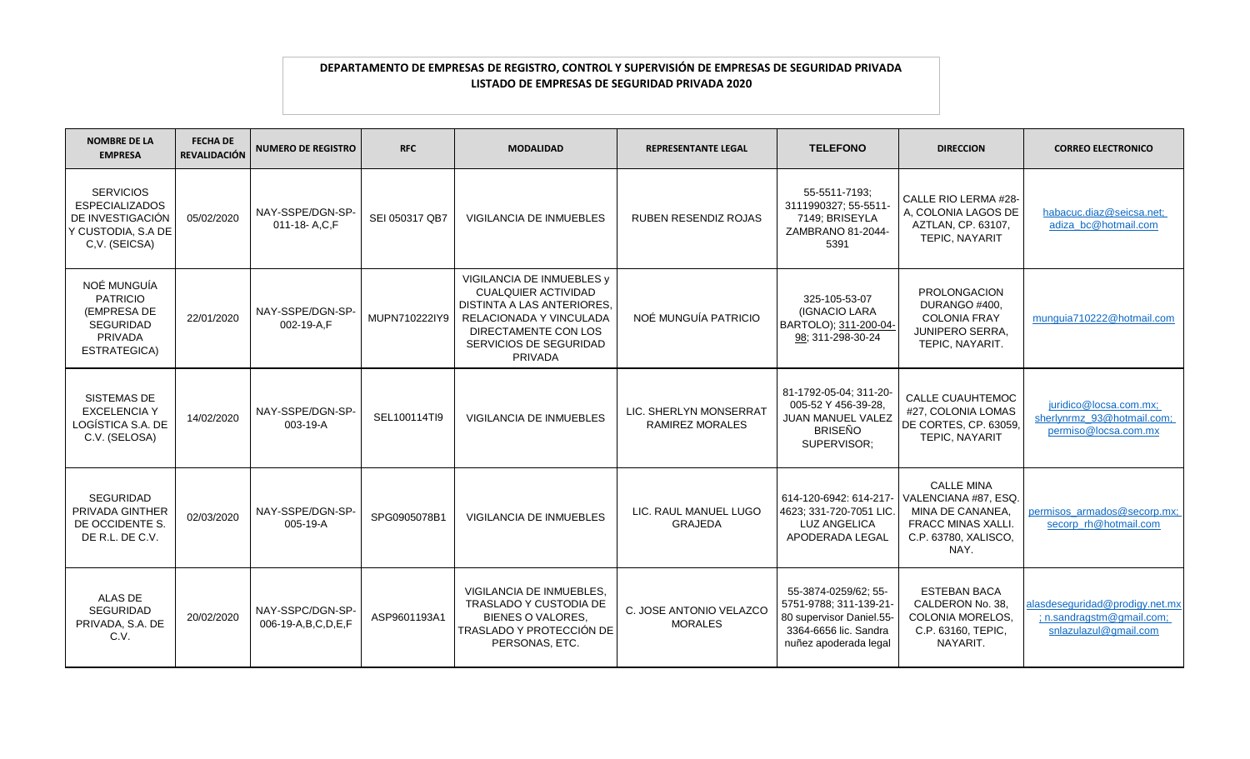| <b>NOMBRE DE LA</b><br><b>EMPRESA</b>                                                                | <b>FECHA DE</b><br><b>REVALIDACIÓN</b> | <b>NUMERO DE REGISTRO</b>              | <b>RFC</b>     | <b>MODALIDAD</b>                                                                                                                                                                     | <b>REPRESENTANTE LEGAL</b>                | <b>TELEFONO</b>                                                                                                              | <b>DIRECCION</b>                                                                                                           | <b>CORREO ELECTRONICO</b>                                                            |
|------------------------------------------------------------------------------------------------------|----------------------------------------|----------------------------------------|----------------|--------------------------------------------------------------------------------------------------------------------------------------------------------------------------------------|-------------------------------------------|------------------------------------------------------------------------------------------------------------------------------|----------------------------------------------------------------------------------------------------------------------------|--------------------------------------------------------------------------------------|
| <b>SERVICIOS</b><br><b>ESPECIALIZADOS</b><br>DE INVESTIGACIÓN<br>Y CUSTODIA, S.A DE<br>C.V. (SEICSA) | 05/02/2020                             | NAY-SSPE/DGN-SP-<br>011-18-A.C.F       | SEI 050317 QB7 | <b>VIGILANCIA DE INMUEBLES</b>                                                                                                                                                       | <b>RUBEN RESENDIZ ROJAS</b>               | 55-5511-7193;<br>3111990327; 55-5511-<br>7149; BRISEYLA<br>ZAMBRANO 81-2044-<br>5391                                         | CALLE RIO LERMA #28-<br>A. COLONIA LAGOS DE<br>AZTLAN, CP. 63107,<br>TEPIC, NAYARIT                                        | habacuc.diaz@seicsa.net;<br>adiza_bc@hotmail.com                                     |
| NOÉ MUNGUÍA<br><b>PATRICIO</b><br>(EMPRESA DE<br><b>SEGURIDAD</b><br>PRIVADA<br>ESTRATEGICA)         | 22/01/2020                             | NAY-SSPE/DGN-SP-<br>002-19-A,F         | MUPN710222IY9  | VIGILANCIA DE INMUEBLES y<br><b>CUALQUIER ACTIVIDAD</b><br>DISTINTA A LAS ANTERIORES,<br>RELACIONADA Y VINCULADA<br>DIRECTAMENTE CON LOS<br><b>SERVICIOS DE SEGURIDAD</b><br>PRIVADA | NOÉ MUNGUÍA PATRICIO                      | 325-105-53-07<br>(IGNACIO LARA<br>BARTOLO); 311-200-04-<br>98: 311-298-30-24                                                 | <b>PROLONGACION</b><br>DURANGO #400,<br><b>COLONIA FRAY</b><br><b>JUNIPERO SERRA,</b><br>TEPIC, NAYARIT.                   | munguia710222@hotmail.com                                                            |
| SISTEMAS DE<br><b>EXCELENCIA Y</b><br>LOGÍSTICA S.A. DE<br>C.V. (SELOSA)                             | 14/02/2020                             | NAY-SSPE/DGN-SP-<br>003-19-A           | SEL100114TI9   | <b>VIGILANCIA DE INMUEBLES</b>                                                                                                                                                       | LIC. SHERLYN MONSERRAT<br>RAMIREZ MORALES | 81-1792-05-04; 311-20-<br>005-52 Y 456-39-28,<br><b>JUAN MANUEL VALEZ</b><br><b>BRISEÑO</b><br>SUPERVISOR;                   | <b>CALLE CUAUHTEMOC</b><br>#27. COLONIA LOMAS<br>DE CORTES, CP. 63059,<br>TEPIC, NAYARIT                                   | juridico@locsa.com.mx;<br>sherlynrmz 93@hotmail.com:<br>permiso@locsa.com.mx         |
| <b>SEGURIDAD</b><br>PRIVADA GINTHER<br>DE OCCIDENTE S.<br>DE R.L. DE C.V.                            | 02/03/2020                             | NAY-SSPE/DGN-SP-<br>005-19-A           | SPG0905078B1   | <b>VIGILANCIA DE INMUEBLES</b>                                                                                                                                                       | LIC. RAUL MANUEL LUGO<br><b>GRAJEDA</b>   | 614-120-6942: 614-217-<br>4623; 331-720-7051 LIC.<br><b>LUZ ANGELICA</b><br>APODERADA LEGAL                                  | <b>CALLE MINA</b><br>VALENCIANA #87, ESQ.<br>MINA DE CANANEA,<br><b>FRACC MINAS XALLI.</b><br>C.P. 63780, XALISCO,<br>NAY. | permisos_armados@secorp.mx;<br>secorp_rh@hotmail.com                                 |
| ALAS DE<br><b>SEGURIDAD</b><br>PRIVADA, S.A. DE<br>C.V.                                              | 20/02/2020                             | NAY-SSPC/DGN-SP-<br>006-19-A,B,C,D,E,F | ASP9601193A1   | VIGILANCIA DE INMUEBLES,<br><b>TRASLADO Y CUSTODIA DE</b><br><b>BIENES O VALORES.</b><br>TRASLADO Y PROTECCIÓN DE<br>PERSONAS, ETC.                                                  | C. JOSE ANTONIO VELAZCO<br><b>MORALES</b> | 55-3874-0259/62; 55-<br>5751-9788; 311-139-21-<br>80 supervisor Daniel.55-<br>3364-6656 lic. Sandra<br>nuñez apoderada legal | <b>ESTEBAN BACA</b><br>CALDERON No. 38.<br><b>COLONIA MORELOS.</b><br>C.P. 63160, TEPIC,<br>NAYARIT.                       | alasdeseguridad@prodigy.net.mx<br>; n.sandragstm@gmail.com;<br>snlazulazul@gmail.com |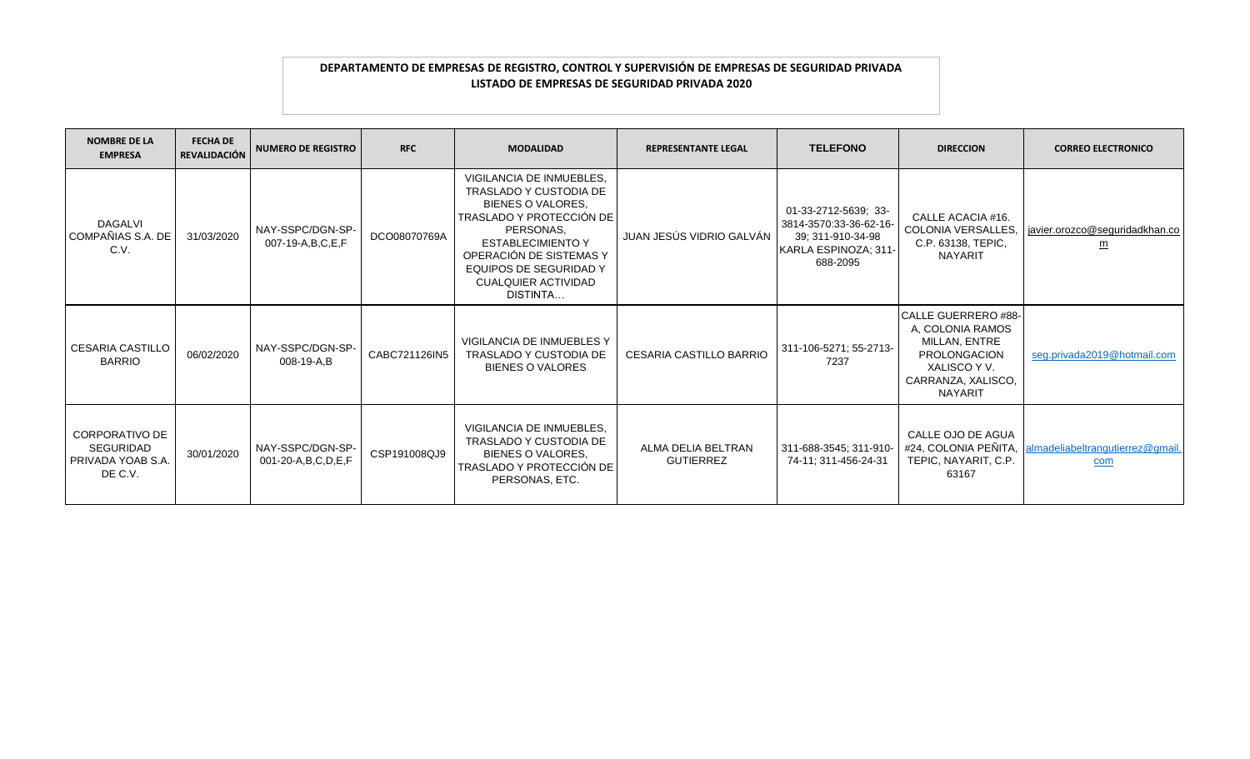| <b>NOMBRE DE LA</b><br><b>EMPRESA</b>                              | <b>FECHA DE</b><br><b>REVALIDACIÓN</b> | <b>NUMERO DE REGISTRO</b>                | <b>RFC</b>    | <b>MODALIDAD</b>                                                                                                                                                                                                                                          | <b>REPRESENTANTE LEGAL</b>             | <b>TELEFONO</b>                                                                                         | <b>DIRECCION</b>                                                                                                                               | <b>CORREO ELECTRONICO</b>                                           |
|--------------------------------------------------------------------|----------------------------------------|------------------------------------------|---------------|-----------------------------------------------------------------------------------------------------------------------------------------------------------------------------------------------------------------------------------------------------------|----------------------------------------|---------------------------------------------------------------------------------------------------------|------------------------------------------------------------------------------------------------------------------------------------------------|---------------------------------------------------------------------|
| <b>DAGALVI</b><br>COMPAÑIAS S.A. DE<br>C.V.                        | 31/03/2020                             | NAY-SSPC/DGN-SP-<br>007-19-A, B, C, E, F | DCO08070769A  | VIGILANCIA DE INMUEBLES,<br><b>TRASLADO Y CUSTODIA DE</b><br><b>BIENES O VALORES.</b><br>TRASLADO Y PROTECCIÓN DE<br>PERSONAS.<br><b>ESTABLECIMIENTO Y</b><br>OPERACIÓN DE SISTEMAS Y<br>EQUIPOS DE SEGURIDAD Y<br><b>CUALQUIER ACTIVIDAD</b><br>DISTINTA | JUAN JESÚS VIDRIO GALVÁN               | 01-33-2712-5639; 33-<br>3814-3570:33-36-62-16-<br>39: 311-910-34-98<br>KARLA ESPINOZA; 311-<br>688-2095 | CALLE ACACIA #16.<br>C.P. 63138, TEPIC,<br><b>NAYARIT</b>                                                                                      | COLONIA VERSALLES, avier.orozco@seguridadkhan.co<br>$\underline{m}$ |
| <b>CESARIA CASTILLO</b><br><b>BARRIO</b>                           | 06/02/2020                             | NAY-SSPC/DGN-SP-<br>008-19-A.B           | CABC721126IN5 | <b>VIGILANCIA DE INMUEBLES Y</b><br>TRASLADO Y CUSTODIA DE<br><b>BIENES O VALORES</b>                                                                                                                                                                     | CESARIA CASTILLO BARRIO                | 311-106-5271; 55-2713-<br>7237                                                                          | <b>CALLE GUERRERO #88-</b><br>A, COLONIA RAMOS<br>MILLAN, ENTRE<br><b>PROLONGACION</b><br>XALISCO Y V.<br>CARRANZA, XALISCO,<br><b>NAYARIT</b> | seg.privada2019@hotmail.com                                         |
| CORPORATIVO DE<br><b>SEGURIDAD</b><br>PRIVADA YOAB S.A.<br>DE C.V. | 30/01/2020                             | NAY-SSPC/DGN-SP-<br>001-20-A,B,C,D,E,F   | CSP191008QJ9  | VIGILANCIA DE INMUEBLES.<br><b>TRASLADO Y CUSTODIA DE</b><br><b>BIENES O VALORES.</b><br>TRASLADO Y PROTECCIÓN DE<br>PERSONAS, ETC.                                                                                                                       | ALMA DELIA BELTRAN<br><b>GUTIERREZ</b> | 311-688-3545; 311-910-<br>74-11: 311-456-24-31                                                          | CALLE OJO DE AGUA<br>TEPIC, NAYARIT, C.P.<br>63167                                                                                             | #24, COLONIA PEÑITA, almadeliabeltrangutierrez@gmail.<br>com        |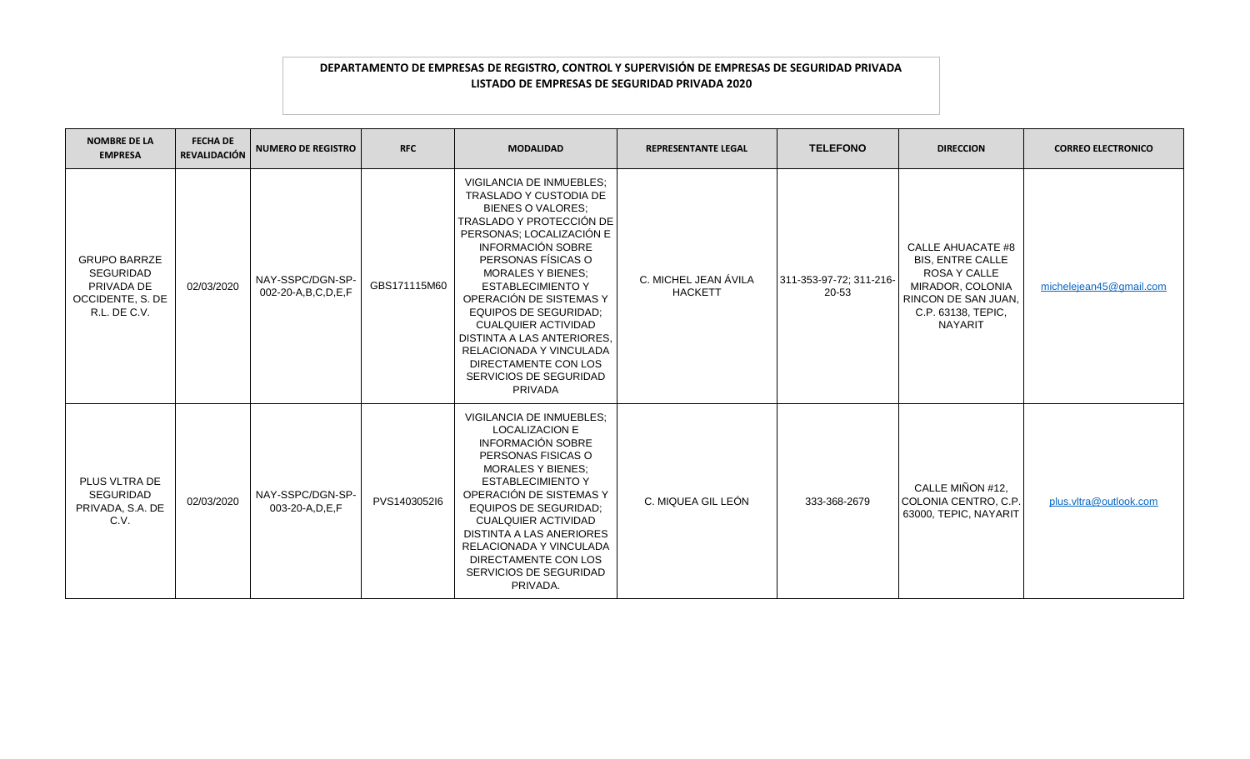| <b>NOMBRE DE LA</b><br><b>EMPRESA</b>                                                     | <b>FECHA DE</b><br><b>REVALIDACIÓN</b> | <b>NUMERO DE REGISTRO</b>                   | <b>RFC</b>   | <b>MODALIDAD</b>                                                                                                                                                                                                                                                                                                                                                                                                                                                       | <b>REPRESENTANTE LEGAL</b>             | <b>TELEFONO</b>                  | <b>DIRECCION</b>                                                                                                                                              | <b>CORREO ELECTRONICO</b> |
|-------------------------------------------------------------------------------------------|----------------------------------------|---------------------------------------------|--------------|------------------------------------------------------------------------------------------------------------------------------------------------------------------------------------------------------------------------------------------------------------------------------------------------------------------------------------------------------------------------------------------------------------------------------------------------------------------------|----------------------------------------|----------------------------------|---------------------------------------------------------------------------------------------------------------------------------------------------------------|---------------------------|
| <b>GRUPO BARRZE</b><br><b>SEGURIDAD</b><br>PRIVADA DE<br>OCCIDENTE, S. DE<br>R.L. DE C.V. | 02/03/2020                             | NAY-SSPC/DGN-SP-<br>002-20-A, B, C, D, E, F | GBS171115M60 | VIGILANCIA DE INMUEBLES;<br><b>TRASLADO Y CUSTODIA DE</b><br><b>BIENES O VALORES:</b><br>TRASLADO Y PROTECCIÓN DE<br>PERSONAS; LOCALIZACIÓN E<br><b>INFORMACIÓN SOBRE</b><br>PERSONAS FÍSICAS O<br><b>MORALES Y BIENES:</b><br><b>ESTABLECIMIENTO Y</b><br>OPERACIÓN DE SISTEMAS Y<br><b>EQUIPOS DE SEGURIDAD:</b><br><b>CUALQUIER ACTIVIDAD</b><br>DISTINTA A LAS ANTERIORES,<br>RELACIONADA Y VINCULADA<br>DIRECTAMENTE CON LOS<br>SERVICIOS DE SEGURIDAD<br>PRIVADA | C. MICHEL JEAN ÁVILA<br><b>HACKETT</b> | 311-353-97-72; 311-216-<br>20-53 | <b>CALLE AHUACATE #8</b><br><b>BIS. ENTRE CALLE</b><br><b>ROSA Y CALLE</b><br>MIRADOR, COLONIA<br>RINCON DE SAN JUAN,<br>C.P. 63138, TEPIC,<br><b>NAYARIT</b> | michelejean45@gmail.com   |
| PLUS VLTRA DE<br><b>SEGURIDAD</b><br>PRIVADA, S.A. DE<br>C.V.                             | 02/03/2020                             | NAY-SSPC/DGN-SP-<br>003-20-A, D, E, F       | PVS1403052l6 | <b>VIGILANCIA DE INMUEBLES:</b><br><b>LOCALIZACION E</b><br><b>INFORMACIÓN SOBRE</b><br>PERSONAS FISICAS O<br><b>MORALES Y BIENES;</b><br><b>ESTABLECIMIENTO Y</b><br>OPERACIÓN DE SISTEMAS Y<br><b>EQUIPOS DE SEGURIDAD;</b><br><b>CUALQUIER ACTIVIDAD</b><br>DISTINTA A LAS ANERIORES<br>RELACIONADA Y VINCULADA<br>DIRECTAMENTE CON LOS<br>SERVICIOS DE SEGURIDAD<br>PRIVADA.                                                                                       | C. MIQUEA GIL LEÓN                     | 333-368-2679                     | CALLE MIÑON #12,<br>COLONIA CENTRO, C.P.<br>63000, TEPIC, NAYARIT                                                                                             | plus.vltra@outlook.com    |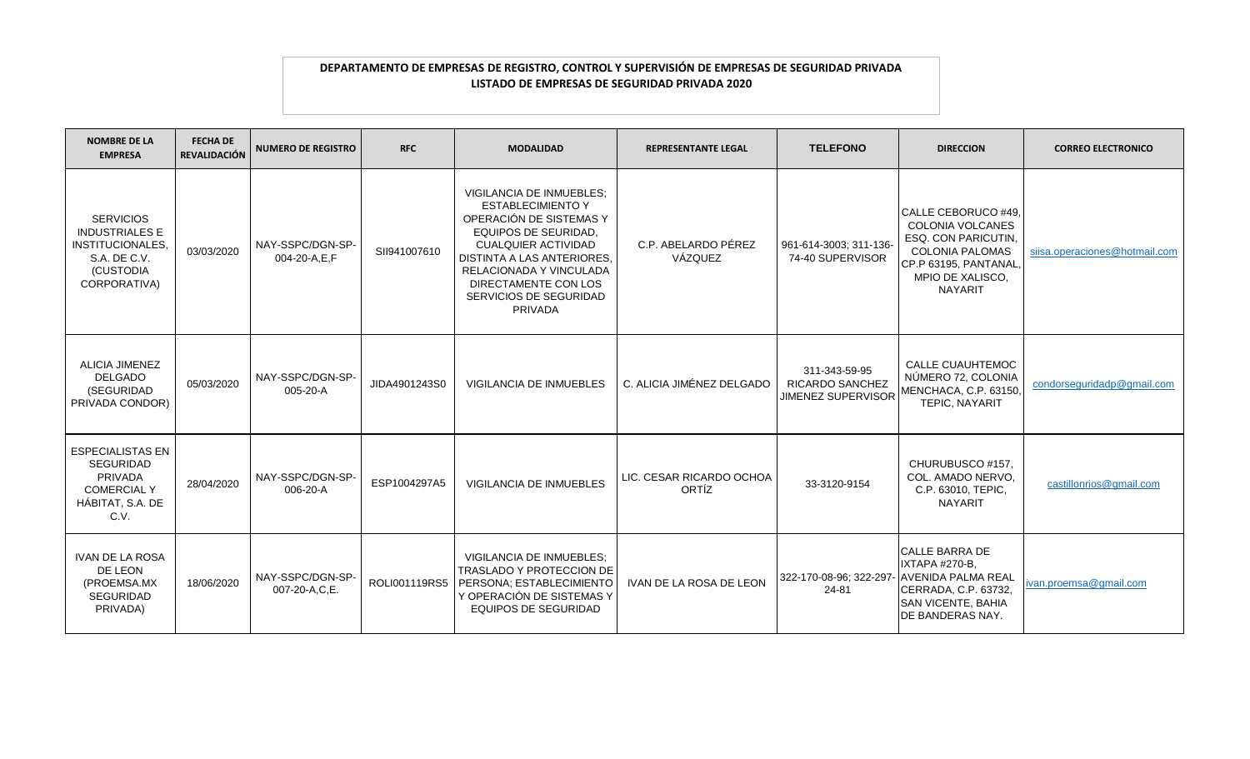| <b>NOMBRE DE LA</b><br><b>EMPRESA</b>                                                                             | <b>FECHA DE</b><br><b>REVALIDACIÓN</b> | <b>NUMERO DE REGISTRO</b>         | <b>RFC</b>    | <b>MODALIDAD</b>                                                                                                                                                                                                                                                          | <b>REPRESENTANTE LEGAL</b>        | <b>TELEFONO</b>                                                      | <b>DIRECCION</b>                                                                                                                                                      | <b>CORREO ELECTRONICO</b>     |
|-------------------------------------------------------------------------------------------------------------------|----------------------------------------|-----------------------------------|---------------|---------------------------------------------------------------------------------------------------------------------------------------------------------------------------------------------------------------------------------------------------------------------------|-----------------------------------|----------------------------------------------------------------------|-----------------------------------------------------------------------------------------------------------------------------------------------------------------------|-------------------------------|
| <b>SERVICIOS</b><br><b>INDUSTRIALES E</b><br><b>INSTITUCIONALES,</b><br>S.A. DE C.V.<br>(CUSTODIA<br>CORPORATIVA) | 03/03/2020                             | NAY-SSPC/DGN-SP-<br>004-20-A,E,F  | SII941007610  | VIGILANCIA DE INMUEBLES;<br><b>ESTABLECIMIENTO Y</b><br>OPERACIÓN DE SISTEMAS Y<br><b>EQUIPOS DE SEURIDAD,</b><br><b>CUALQUIER ACTIVIDAD</b><br><b>DISTINTA A LAS ANTERIORES.</b><br>RELACIONADA Y VINCULADA<br>DIRECTAMENTE CON LOS<br>SERVICIOS DE SEGURIDAD<br>PRIVADA | C.P. ABELARDO PÉREZ<br>VÁZQUEZ    | 961-614-3003; 311-136-<br>74-40 SUPERVISOR                           | CALLE CEBORUCO #49.<br><b>COLONIA VOLCANES</b><br><b>ESQ. CON PARICUTIN.</b><br><b>COLONIA PALOMAS</b><br>CP.P 63195, PANTANAL,<br>MPIO DE XALISCO,<br><b>NAYARIT</b> | siisa.operaciones@hotmail.com |
| <b>ALICIA JIMENEZ</b><br><b>DELGADO</b><br>(SEGURIDAD<br>PRIVADA CONDOR)                                          | 05/03/2020                             | NAY-SSPC/DGN-SP-<br>005-20-A      | JIDA4901243S0 | <b>VIGILANCIA DE INMUEBLES</b>                                                                                                                                                                                                                                            | C. ALICIA JIMÉNEZ DELGADO         | 311-343-59-95<br><b>RICARDO SANCHEZ</b><br><b>JIMENEZ SUPERVISOR</b> | <b>CALLE CUAUHTEMOC</b><br>NÚMERO 72, COLONIA<br>MENCHACA, C.P. 63150,<br>TEPIC, NAYARIT                                                                              | condorseguridadp@gmail.com    |
| <b>ESPECIALISTAS EN</b><br>SEGURIDAD<br>PRIVADA<br><b>COMERCIAL Y</b><br>HÁBITAT, S.A. DE<br>C.V.                 | 28/04/2020                             | NAY-SSPC/DGN-SP-<br>006-20-A      | ESP1004297A5  | <b>VIGILANCIA DE INMUEBLES</b>                                                                                                                                                                                                                                            | LIC. CESAR RICARDO OCHOA<br>ORTÍZ | 33-3120-9154                                                         | CHURUBUSCO #157,<br>COL. AMADO NERVO.<br>C.P. 63010, TEPIC,<br><b>NAYARIT</b>                                                                                         | castillonrios@gmail.com       |
| <b>IVAN DE LA ROSA</b><br>DE LEON<br>(PROEMSA.MX<br>SEGURIDAD<br>PRIVADA)                                         | 18/06/2020                             | NAY-SSPC/DGN-SP-<br>007-20-A,C,E. |               | <b>VIGILANCIA DE INMUEBLES:</b><br><b>TRASLADO Y PROTECCION DE</b><br>ROLI001119RS5 PERSONA; ESTABLECIMIENTO<br>Y OPERACIÓN DE SISTEMAS Y<br><b>EQUIPOS DE SEGURIDAD</b>                                                                                                  | <b>IVAN DE LA ROSA DE LEON</b>    | 322-170-08-96; 322-297- AVENIDA PALMA REAL<br>24-81                  | <b>CALLE BARRA DE</b><br>IXTAPA #270-B,<br>CERRADA, C.P. 63732,<br><b>SAN VICENTE, BAHIA</b><br><b>DE BANDERAS NAY.</b>                                               | ivan.proemsa@gmail.com        |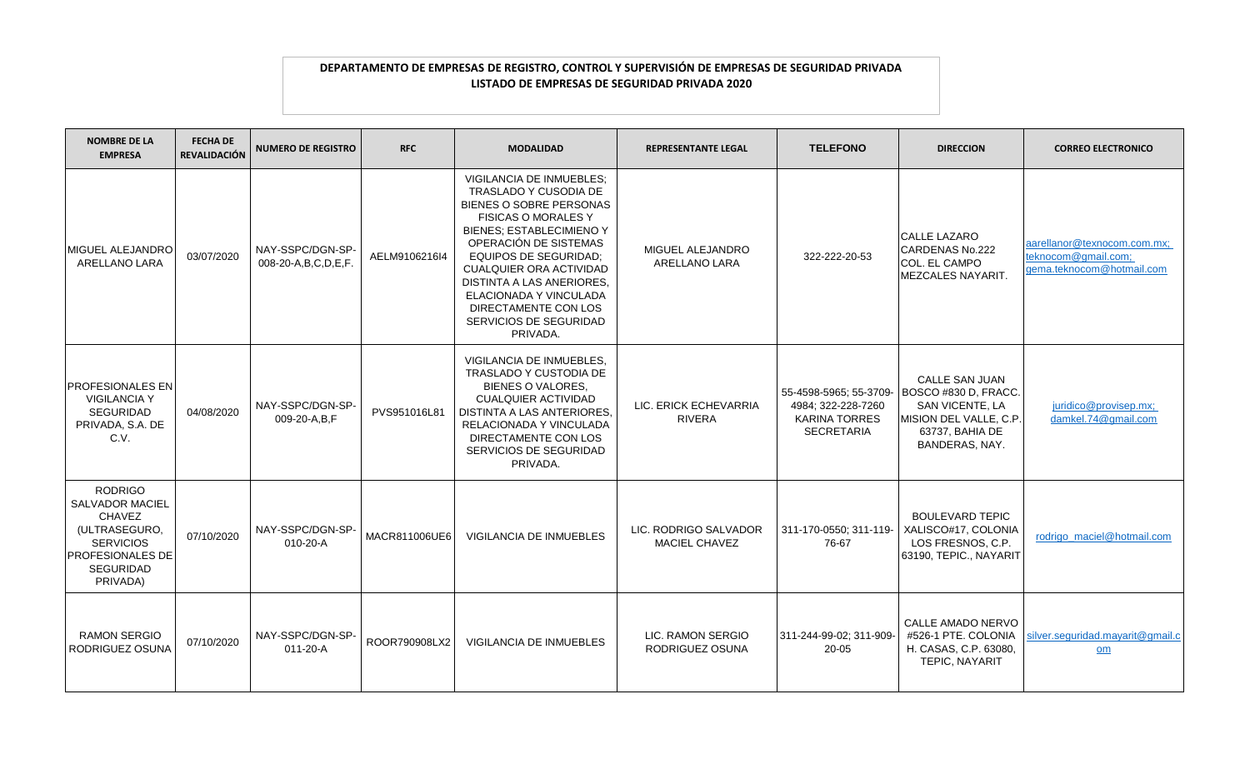| <b>NOMBRE DE LA</b><br><b>EMPRESA</b>                                                                                                       | <b>FECHA DE</b><br><b>REVALIDACIÓN</b> | <b>NUMERO DE REGISTRO</b>                    | <b>RFC</b>    | <b>MODALIDAD</b>                                                                                                                                                                                                                                                                                                                                                            | <b>REPRESENTANTE LEGAL</b>                    | <b>TELEFONO</b>                                                                           | <b>DIRECCION</b>                                                                                                         | <b>CORREO ELECTRONICO</b>                                                       |
|---------------------------------------------------------------------------------------------------------------------------------------------|----------------------------------------|----------------------------------------------|---------------|-----------------------------------------------------------------------------------------------------------------------------------------------------------------------------------------------------------------------------------------------------------------------------------------------------------------------------------------------------------------------------|-----------------------------------------------|-------------------------------------------------------------------------------------------|--------------------------------------------------------------------------------------------------------------------------|---------------------------------------------------------------------------------|
| MIGUEL ALEJANDRO<br>ARELLANO LARA                                                                                                           | 03/07/2020                             | NAY-SSPC/DGN-SP-<br>008-20-A, B, C, D, E, F. | AELM9106216I4 | <b>VIGILANCIA DE INMUEBLES:</b><br><b>TRASLADO Y CUSODIA DE</b><br>BIENES O SOBRE PERSONAS<br><b>FISICAS O MORALES Y</b><br><b>BIENES: ESTABLECIMIENO Y</b><br>OPERACIÓN DE SISTEMAS<br><b>EQUIPOS DE SEGURIDAD;</b><br><b>CUALQUIER ORA ACTIVIDAD</b><br>DISTINTA A LAS ANERIORES,<br>ELACIONADA Y VINCULADA<br>DIRECTAMENTE CON LOS<br>SERVICIOS DE SEGURIDAD<br>PRIVADA. | MIGUEL ALEJANDRO<br>ARELLANO LARA             | 322-222-20-53                                                                             | <b>CALLE LAZARO</b><br>CARDENAS No.222<br>COL. EL CAMPO<br><b>MEZCALES NAYARIT.</b>                                      | aarellanor@texnocom.com.mx:<br>teknocom@gmail.com;<br>gema.teknocom@hotmail.com |
| <b>PROFESIONALES EN</b><br><b>VIGILANCIA Y</b><br>SEGURIDAD<br>PRIVADA, S.A. DE<br>C.V.                                                     | 04/08/2020                             | NAY-SSPC/DGN-SP-<br>009-20-A,B,F             | PVS951016L81  | VIGILANCIA DE INMUEBLES,<br>TRASLADO Y CUSTODIA DE<br>BIENES O VALORES.<br><b>CUALQUIER ACTIVIDAD</b><br>DISTINTA A LAS ANTERIORES,<br>RELACIONADA Y VINCULADA<br>DIRECTAMENTE CON LOS<br>SERVICIOS DE SEGURIDAD<br>PRIVADA.                                                                                                                                                | LIC. ERICK ECHEVARRIA<br><b>RIVERA</b>        | 55-4598-5965; 55-3709-<br>4984; 322-228-7260<br><b>KARINA TORRES</b><br><b>SECRETARIA</b> | CALLE SAN JUAN<br>BOSCO #830 D, FRACC.<br>SAN VICENTE, LA<br>MISION DEL VALLE, C.P.<br>63737, BAHIA DE<br>BANDERAS, NAY. | juridico@provisep.mx;<br>damkel.74@gmail.com                                    |
| <b>RODRIGO</b><br>SALVADOR MACIEL<br><b>CHAVEZ</b><br>(ULTRASEGURO,<br><b>SERVICIOS</b><br><b>PROFESIONALES DE</b><br>SEGURIDAD<br>PRIVADA) | 07/10/2020                             | NAY-SSPC/DGN-SP<br>$010 - 20 - A$            | MACR811006UE6 | <b>VIGILANCIA DE INMUEBLES</b>                                                                                                                                                                                                                                                                                                                                              | LIC. RODRIGO SALVADOR<br><b>MACIEL CHAVEZ</b> | 311-170-0550; 311-119-<br>76-67                                                           | <b>BOULEVARD TEPIC</b><br>XALISCO#17, COLONIA<br>LOS FRESNOS, C.P.<br>63190, TEPIC., NAYARIT                             | rodrigo_maciel@hotmail.com                                                      |
| <b>RAMON SERGIO</b><br>RODRIGUEZ OSUNA                                                                                                      | 07/10/2020                             | NAY-SSPC/DGN-SP-<br>$011 - 20 - A$           | ROOR790908LX2 | <b>VIGILANCIA DE INMUEBLES</b>                                                                                                                                                                                                                                                                                                                                              | LIC. RAMON SERGIO<br>RODRIGUEZ OSUNA          | 311-244-99-02: 311-909-<br>$20 - 05$                                                      | CALLE AMADO NERVO<br>#526-1 PTE, COLONIA<br>H. CASAS, C.P. 63080,<br>TEPIC, NAYARIT                                      | silver.seguridad.mayarit@gmail.c<br>om                                          |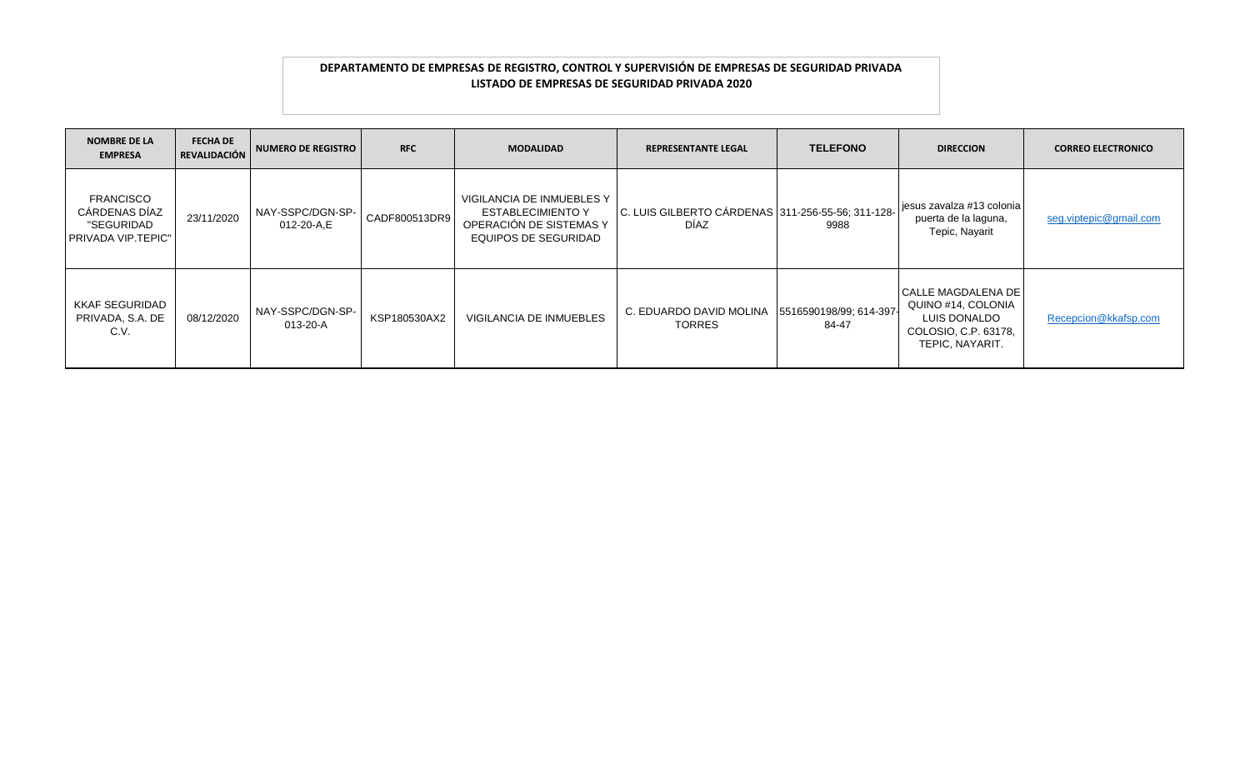| <b>NOMBRE DE LA</b><br><b>EMPRESA</b>                                        | <b>FECHA DE</b><br><b>REVALIDACIÓN</b> | NUMERO DE REGISTRO             | <b>RFC</b>    | <b>MODALIDAD</b>                                                                                  | <b>REPRESENTANTE LEGAL</b>                                       | <b>TELEFONO</b>                  | <b>DIRECCION</b>                                                                                               | <b>CORREO ELECTRONICO</b> |
|------------------------------------------------------------------------------|----------------------------------------|--------------------------------|---------------|---------------------------------------------------------------------------------------------------|------------------------------------------------------------------|----------------------------------|----------------------------------------------------------------------------------------------------------------|---------------------------|
| <b>FRANCISCO</b><br>CÁRDENAS DÍAZ<br>"SEGURIDAD<br><b>PRIVADA VIP.TEPIC"</b> | 23/11/2020                             | NAY-SSPC/DGN-SP-<br>012-20-A.E | CADF800513DR9 | VIGILANCIA DE INMUEBLES Y<br>ESTABLECIMIENTO Y<br>OPERACIÓN DE SISTEMAS Y<br>EQUIPOS DE SEGURIDAD | C. LUIS GILBERTO CÁRDENAS 311-256-55-56; 311-128-<br><b>DÍAZ</b> | 9988                             | jesus zavalza #13 colonia<br>puerta de la laguna,<br>Tepic, Nayarit                                            | seg.viptepic@gmail.com    |
| KKAF SEGURIDAD<br>PRIVADA, S.A. DE<br>C.V.                                   | 08/12/2020                             | NAY-SSPC/DGN-SP-<br>013-20-A   | KSP180530AX2  | <b>VIGILANCIA DE INMUEBLES</b>                                                                    | C. EDUARDO DAVID MOLINA<br><b>TORRES</b>                         | 5516590198/99; 614-397-<br>84-47 | <b>I CALLE MAGDALENA DE I</b><br>QUINO #14, COLONIA<br>LUIS DONALDO<br>COLOSIO, C.P. 63178,<br>TEPIC, NAYARIT. | Recepcion@kkafsp.com      |